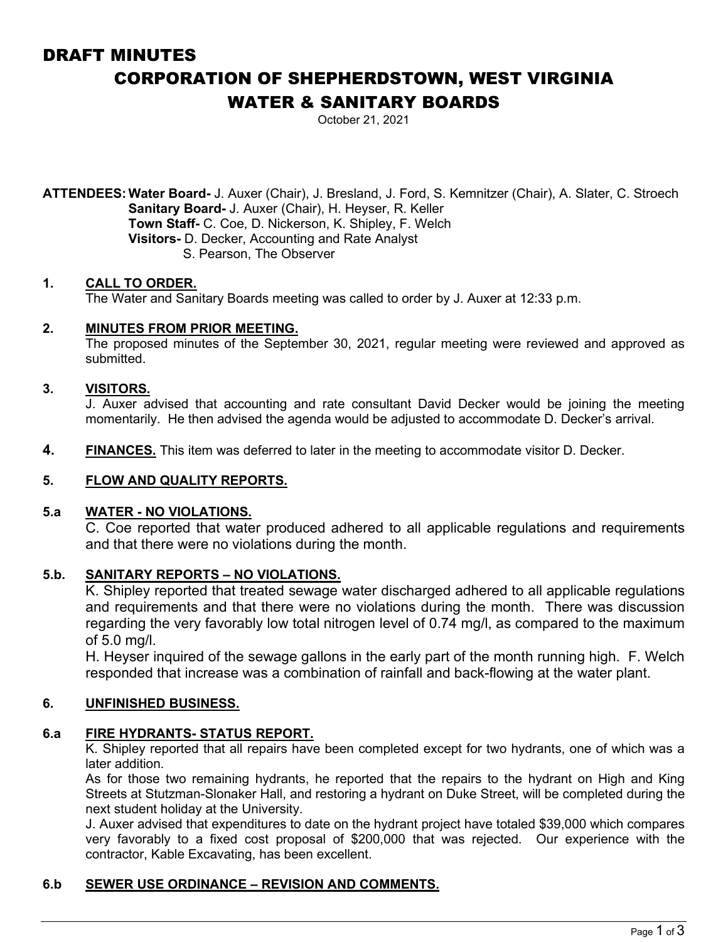# DRAFT MINUTES CORPORATION OF SHEPHERDSTOWN, WEST VIRGINIA WATER & SANITARY BOARDS

October 21, 2021

**ATTENDEES:Water Board-** J. Auxer (Chair), J. Bresland, J. Ford, S. Kemnitzer (Chair), A. Slater, C. Stroech **Sanitary Board-** J. Auxer (Chair), H. Heyser, R. Keller **Town Staff-** C. Coe, D. Nickerson, K. Shipley, F. Welch **Visitors-** D. Decker, Accounting and Rate Analyst S. Pearson, The Observer

### **1. CALL TO ORDER.**

The Water and Sanitary Boards meeting was called to order by J. Auxer at 12:33 p.m.

### **2. MINUTES FROM PRIOR MEETING.**

The proposed minutes of the September 30, 2021, regular meeting were reviewed and approved as submitted.

### **3. VISITORS.**

J. Auxer advised that accounting and rate consultant David Decker would be joining the meeting momentarily. He then advised the agenda would be adjusted to accommodate D. Decker's arrival.

**4. FINANCES.** This item was deferred to later in the meeting to accommodate visitor D. Decker.

#### **5. FLOW AND QUALITY REPORTS.**

### **5.a WATER - NO VIOLATIONS.**

C. Coe reported that water produced adhered to all applicable regulations and requirements and that there were no violations during the month.

### **5.b. SANITARY REPORTS – NO VIOLATIONS.**

K. Shipley reported that treated sewage water discharged adhered to all applicable regulations and requirements and that there were no violations during the month. There was discussion regarding the very favorably low total nitrogen level of 0.74 mg/l, as compared to the maximum of 5.0 mg/l.

H. Heyser inquired of the sewage gallons in the early part of the month running high. F. Welch responded that increase was a combination of rainfall and back-flowing at the water plant.

#### **6. UNFINISHED BUSINESS.**

#### **6.a FIRE HYDRANTS- STATUS REPORT.**

K. Shipley reported that all repairs have been completed except for two hydrants, one of which was a later addition.

As for those two remaining hydrants, he reported that the repairs to the hydrant on High and King Streets at Stutzman-Slonaker Hall, and restoring a hydrant on Duke Street, will be completed during the next student holiday at the University.

J. Auxer advised that expenditures to date on the hydrant project have totaled \$39,000 which compares very favorably to a fixed cost proposal of \$200,000 that was rejected. Our experience with the contractor, Kable Excavating, has been excellent.

### **6.b SEWER USE ORDINANCE – REVISION AND COMMENTS.**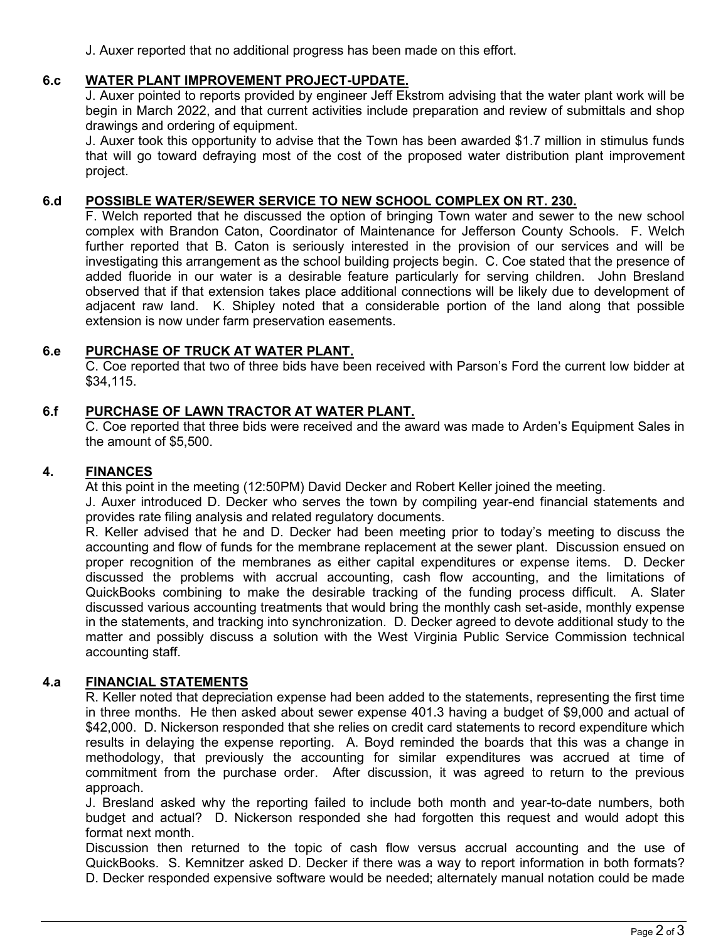J. Auxer reported that no additional progress has been made on this effort.

# **6.c WATER PLANT IMPROVEMENT PROJECT-UPDATE.**

J. Auxer pointed to reports provided by engineer Jeff Ekstrom advising that the water plant work will be begin in March 2022, and that current activities include preparation and review of submittals and shop drawings and ordering of equipment.

J. Auxer took this opportunity to advise that the Town has been awarded \$1.7 million in stimulus funds that will go toward defraying most of the cost of the proposed water distribution plant improvement project.

# **6.d POSSIBLE WATER/SEWER SERVICE TO NEW SCHOOL COMPLEX ON RT. 230.**

F. Welch reported that he discussed the option of bringing Town water and sewer to the new school complex with Brandon Caton, Coordinator of Maintenance for Jefferson County Schools. F. Welch further reported that B. Caton is seriously interested in the provision of our services and will be investigating this arrangement as the school building projects begin. C. Coe stated that the presence of added fluoride in our water is a desirable feature particularly for serving children. John Bresland observed that if that extension takes place additional connections will be likely due to development of adjacent raw land. K. Shipley noted that a considerable portion of the land along that possible extension is now under farm preservation easements.

### **6.e PURCHASE OF TRUCK AT WATER PLANT.**

C. Coe reported that two of three bids have been received with Parson's Ford the current low bidder at \$34,115.

# **6.f PURCHASE OF LAWN TRACTOR AT WATER PLANT.**

C. Coe reported that three bids were received and the award was made to Arden's Equipment Sales in the amount of \$5,500.

### **4. FINANCES**

At this point in the meeting (12:50PM) David Decker and Robert Keller joined the meeting.

J. Auxer introduced D. Decker who serves the town by compiling year-end financial statements and provides rate filing analysis and related regulatory documents.

R. Keller advised that he and D. Decker had been meeting prior to today's meeting to discuss the accounting and flow of funds for the membrane replacement at the sewer plant. Discussion ensued on proper recognition of the membranes as either capital expenditures or expense items. D. Decker discussed the problems with accrual accounting, cash flow accounting, and the limitations of QuickBooks combining to make the desirable tracking of the funding process difficult. A. Slater discussed various accounting treatments that would bring the monthly cash set-aside, monthly expense in the statements, and tracking into synchronization. D. Decker agreed to devote additional study to the matter and possibly discuss a solution with the West Virginia Public Service Commission technical accounting staff.

# **4.a FINANCIAL STATEMENTS**

R. Keller noted that depreciation expense had been added to the statements, representing the first time in three months. He then asked about sewer expense 401.3 having a budget of \$9,000 and actual of \$42,000. D. Nickerson responded that she relies on credit card statements to record expenditure which results in delaying the expense reporting. A. Boyd reminded the boards that this was a change in methodology, that previously the accounting for similar expenditures was accrued at time of commitment from the purchase order. After discussion, it was agreed to return to the previous approach.

J. Bresland asked why the reporting failed to include both month and year-to-date numbers, both budget and actual? D. Nickerson responded she had forgotten this request and would adopt this format next month.

Discussion then returned to the topic of cash flow versus accrual accounting and the use of QuickBooks. S. Kemnitzer asked D. Decker if there was a way to report information in both formats? D. Decker responded expensive software would be needed; alternately manual notation could be made